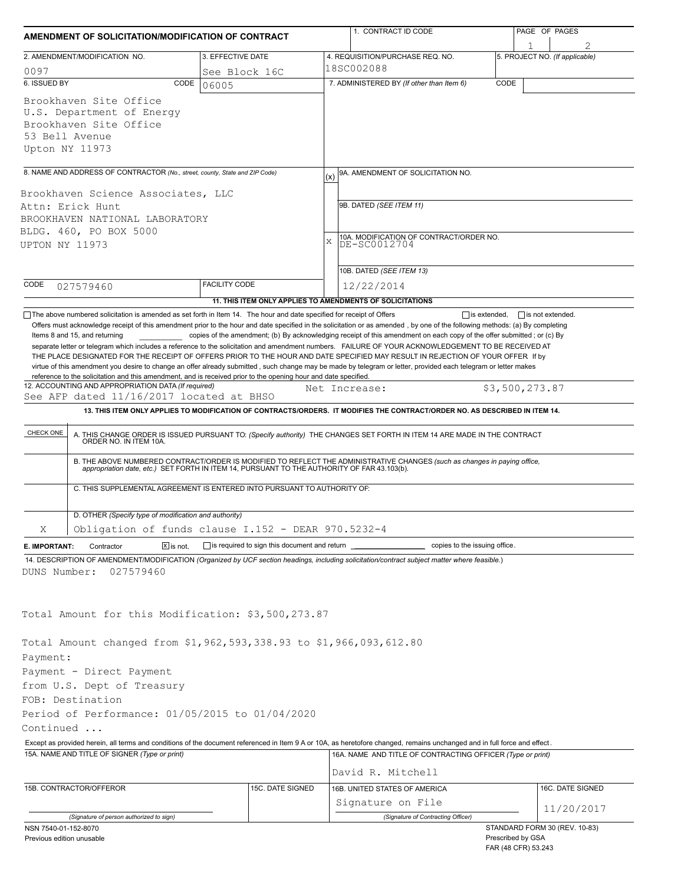| AMENDMENT OF SOLICITATION/MODIFICATION OF CONTRACT                                                                                                                                                                           |                      |                                                     |     | 1. CONTRACT ID CODE                                                                                                                                                                                                                                                                                                                                                                                                                                                                                                                                                                                       | PAGE OF PAGES |                   |                                |  |
|------------------------------------------------------------------------------------------------------------------------------------------------------------------------------------------------------------------------------|----------------------|-----------------------------------------------------|-----|-----------------------------------------------------------------------------------------------------------------------------------------------------------------------------------------------------------------------------------------------------------------------------------------------------------------------------------------------------------------------------------------------------------------------------------------------------------------------------------------------------------------------------------------------------------------------------------------------------------|---------------|-------------------|--------------------------------|--|
| 2. AMENDMENT/MODIFICATION NO.<br>3. EFFECTIVE DATE                                                                                                                                                                           |                      |                                                     |     | 4. REQUISITION/PURCHASE REQ. NO.                                                                                                                                                                                                                                                                                                                                                                                                                                                                                                                                                                          |               |                   | 5. PROJECT NO. (If applicable) |  |
| 0097                                                                                                                                                                                                                         |                      | See Block 16C                                       |     | 18SC002088                                                                                                                                                                                                                                                                                                                                                                                                                                                                                                                                                                                                |               |                   |                                |  |
| 6. ISSUED BY                                                                                                                                                                                                                 | CODE<br>06005        |                                                     |     | 7. ADMINISTERED BY (If other than Item 6)                                                                                                                                                                                                                                                                                                                                                                                                                                                                                                                                                                 | CODE          |                   |                                |  |
| Brookhaven Site Office<br>U.S. Department of Energy<br>Brookhaven Site Office<br>53 Bell Avenue<br>Upton NY 11973                                                                                                            |                      |                                                     |     |                                                                                                                                                                                                                                                                                                                                                                                                                                                                                                                                                                                                           |               |                   |                                |  |
| 8. NAME AND ADDRESS OF CONTRACTOR (No., street, county, State and ZIP Code)                                                                                                                                                  |                      |                                                     | (x) | 9A. AMENDMENT OF SOLICITATION NO.                                                                                                                                                                                                                                                                                                                                                                                                                                                                                                                                                                         |               |                   |                                |  |
| Brookhaven Science Associates, LLC<br>Attn: Erick Hunt<br>BROOKHAVEN NATIONAL LABORATORY<br>BLDG. 460, PO BOX 5000<br>UPTON NY 11973                                                                                         |                      |                                                     |     | 9B. DATED (SEE ITEM 11)<br>10A. MODIFICATION OF CONTRACT/ORDER NO.<br>DE-SC0012704<br>X<br>10B. DATED (SEE ITEM 13)                                                                                                                                                                                                                                                                                                                                                                                                                                                                                       |               |                   |                                |  |
| CODE<br>027579460                                                                                                                                                                                                            | <b>FACILITY CODE</b> |                                                     |     | 12/22/2014                                                                                                                                                                                                                                                                                                                                                                                                                                                                                                                                                                                                |               |                   |                                |  |
|                                                                                                                                                                                                                              |                      |                                                     |     | 11. THIS ITEM ONLY APPLIES TO AMENDMENTS OF SOLICITATIONS                                                                                                                                                                                                                                                                                                                                                                                                                                                                                                                                                 |               |                   |                                |  |
| reference to the solicitation and this amendment, and is received prior to the opening hour and date specified.<br>12. ACCOUNTING AND APPROPRIATION DATA (If required)<br>See AFP dated 11/16/2017 located at BHSO           |                      |                                                     |     | separate letter or telegram which includes a reference to the solicitation and amendment numbers. FAILURE OF YOUR ACKNOWLEDGEMENT TO BE RECEIVED AT<br>THE PLACE DESIGNATED FOR THE RECEIPT OF OFFERS PRIOR TO THE HOUR AND DATE SPECIFIED MAY RESULT IN REJECTION OF YOUR OFFER If by<br>virtue of this amendment you desire to change an offer already submitted, such change may be made by telegram or letter, provided each telegram or letter makes<br>Net Increase:<br>13. THIS ITEM ONLY APPLIES TO MODIFICATION OF CONTRACTS/ORDERS. IT MODIFIES THE CONTRACT/ORDER NO. AS DESCRIBED IN ITEM 14. |               | \$3,500,273.87    |                                |  |
|                                                                                                                                                                                                                              |                      |                                                     |     |                                                                                                                                                                                                                                                                                                                                                                                                                                                                                                                                                                                                           |               |                   |                                |  |
| CHECK ONE<br>C. THIS SUPPLEMENTAL AGREEMENT IS ENTERED INTO PURSUANT TO AUTHORITY OF:                                                                                                                                        |                      |                                                     |     | A. THIS CHANGE ORDER IS ISSUED PURSUANT TO: (Specify authority) THE CHANGES SET FORTH IN ITEM 14 ARE MADE IN THE CONTRACT ORDER NO. IN ITEM 10A.<br>B. THE ABOVE NUMBERED CONTRACT/ORDER IS MODIFIED TO REFLECT THE ADMINISTRATIVE CHANGES (such as changes in paying office,<br>appropriation date, etc.) SET FORTH IN ITEM 14, PURSUANT TO THE AUTHORITY OF FAR 43.103(b).                                                                                                                                                                                                                              |               |                   |                                |  |
|                                                                                                                                                                                                                              |                      |                                                     |     |                                                                                                                                                                                                                                                                                                                                                                                                                                                                                                                                                                                                           |               |                   |                                |  |
| D. OTHER (Specify type of modification and authority)<br>Obligation of funds clause I.152 - DEAR 970.5232-4<br>Χ                                                                                                             |                      |                                                     |     |                                                                                                                                                                                                                                                                                                                                                                                                                                                                                                                                                                                                           |               |                   |                                |  |
| $X$ is not.<br>E. IMPORTANT:<br>Contractor                                                                                                                                                                                   |                      | $\Box$ is required to sign this document and return |     | copies to the issuing office.                                                                                                                                                                                                                                                                                                                                                                                                                                                                                                                                                                             |               |                   |                                |  |
| 14. DESCRIPTION OF AMENDMENT/MODIFICATION (Organized by UCF section headings, including solicitation/contract subject matter where feasible.)<br>027579460<br>DUNS Number:                                                   |                      |                                                     |     |                                                                                                                                                                                                                                                                                                                                                                                                                                                                                                                                                                                                           |               |                   |                                |  |
| Total Amount for this Modification: \$3,500,273.87                                                                                                                                                                           |                      |                                                     |     |                                                                                                                                                                                                                                                                                                                                                                                                                                                                                                                                                                                                           |               |                   |                                |  |
| Total Amount changed from \$1,962,593,338.93 to \$1,966,093,612.80<br>Payment:<br>Payment - Direct Payment<br>from U.S. Dept of Treasury<br>FOB: Destination<br>Period of Performance: 01/05/2015 to 01/04/2020<br>Continued |                      |                                                     |     |                                                                                                                                                                                                                                                                                                                                                                                                                                                                                                                                                                                                           |               |                   |                                |  |
| Except as provided herein, all terms and conditions of the document referenced in Item 9 A or 10A, as heretofore changed, remains unchanged and in full force and effect.                                                    |                      |                                                     |     |                                                                                                                                                                                                                                                                                                                                                                                                                                                                                                                                                                                                           |               |                   |                                |  |
| 15A. NAME AND TITLE OF SIGNER (Type or print)                                                                                                                                                                                |                      |                                                     |     | 16A. NAME AND TITLE OF CONTRACTING OFFICER (Type or print)<br>David R. Mitchell                                                                                                                                                                                                                                                                                                                                                                                                                                                                                                                           |               |                   |                                |  |
| 15B. CONTRACTOR/OFFEROR                                                                                                                                                                                                      |                      | 15C. DATE SIGNED                                    |     | 16B. UNITED STATES OF AMERICA                                                                                                                                                                                                                                                                                                                                                                                                                                                                                                                                                                             |               |                   | 16C. DATE SIGNED               |  |
|                                                                                                                                                                                                                              |                      |                                                     |     | Signature on File                                                                                                                                                                                                                                                                                                                                                                                                                                                                                                                                                                                         |               |                   |                                |  |
| (Signature of person authorized to sign)                                                                                                                                                                                     |                      |                                                     |     | (Signature of Contracting Officer)                                                                                                                                                                                                                                                                                                                                                                                                                                                                                                                                                                        |               |                   | 11/20/2017                     |  |
| NSN 7540-01-152-8070                                                                                                                                                                                                         |                      |                                                     |     |                                                                                                                                                                                                                                                                                                                                                                                                                                                                                                                                                                                                           |               |                   | STANDARD FORM 30 (REV. 10-83)  |  |
| Previous edition unusable                                                                                                                                                                                                    |                      |                                                     |     |                                                                                                                                                                                                                                                                                                                                                                                                                                                                                                                                                                                                           |               | Prescribed by GSA |                                |  |

FAR (48 CFR) 53.243